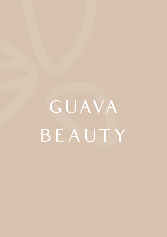GUAVA BEAUTY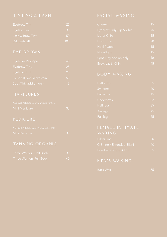| Eyebrow Tint     | 25              |
|------------------|-----------------|
| Eyelash Tint     | 30              |
| Lash & Brow Tint | -50             |
| LVL Lash Lift    | 10 <sub>5</sub> |

| Eyebrow Reshape       | 45 |
|-----------------------|----|
| Eyebrow Tidy          | 25 |
| Eyebrow Tint          | 25 |
| Henna Brows/Wax/Stain | 55 |
| Spot Tidy add on only | 8  |

| Add Gel Polish to your Manicure for \$10 |  |
|------------------------------------------|--|
| Mini Manicure                            |  |

| Add Gel Polish to your Pedicure for \$10 |  |
|------------------------------------------|--|
| Mini Pedicure                            |  |

|  | <b>Three Warriors Half Body</b> |    |
|--|---------------------------------|----|
|  | Three Warriors Full Body        | 40 |

| Cheeks                   | 15  |
|--------------------------|-----|
| Eyebrow Tidy, Lip & Chin | 45  |
| Lip or Chin              | 15  |
| Lip & Chin               | 28  |
| Neck/Nape                | 15  |
| Nose/Ears                | 15  |
| Spot Tidy add on only    | \$8 |
| Brow, Lip & Chin         | 45  |

| Half arms  | 35 |
|------------|----|
| $3/4$ arms | 40 |
| Full arms  | 45 |
| Underarms  | 22 |
| Half legs  | 35 |
| $3/4$ legs | 45 |
| Full leg   | 55 |

| <b>Bikini Line</b>          | 30 |
|-----------------------------|----|
| G String / Extended Bikini  | 40 |
| Brazilian / Strip / All Off | 55 |

| ack Wax |  |  |
|---------|--|--|
|         |  |  |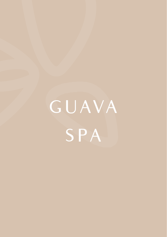GUAVA **SPA**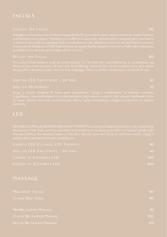| EXPRESS LED (CLEANSE, LED THERAPY) | -80 |
|------------------------------------|-----|
| ADD ON LED TREATMENT - 20 MINS     | 40  |
| COURSE OF 6 EXPRESS LED            | 400 |
| COURSE OF 12 EXPRESS LED           |     |

## MASSAGE

| MINI DEEP TISSUE                  | 80               |
|-----------------------------------|------------------|
| <b>CLASSIC DEEP TISSUE</b>        | 110              |
|                                   |                  |
| <b>MINI RELAXATION MASSAGE</b>    | 70               |
| <b>CLASSIC RELAXATION MASSAGE</b> | 100 <sub>1</sub> |
| <b>DELUXE RELAXATION MASSAGE</b>  | 125              |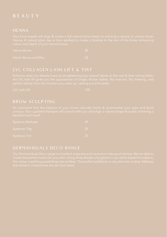# B E A U T Y

| Henna Brows |                     |  |
|-------------|---------------------|--|
|             | Henna Brows and Wax |  |

### LVL COLLAGEN LASH LIFT & TINT

| Eyebrow Reshape | 45 |
|-----------------|----|
| Evebrow Tidy    |    |
| Evebrow Tint    |    |

## DERMAVIDUALS DECO RANGE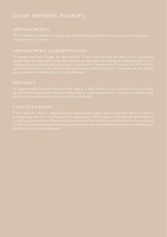# GUAVA BOOKING POLICIES

## DEPOSITS